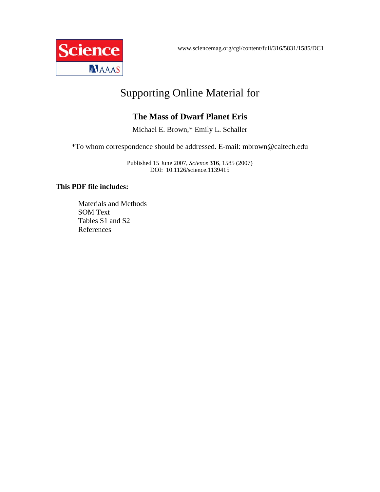www.sciencemag.org/cgi/content/full/316/5831/1585/DC1



# Supporting Online Material for

# **The Mass of Dwarf Planet Eris**

Michael E. Brown,\* Emily L. Schaller

\*To whom correspondence should be addressed. E-mail: mbrown@caltech.edu

Published 15 June 2007, *Science* **316**, 1585 (2007) DOI: 10.1126/science.1139415

# **This PDF file includes:**

Materials and Methods SOM Text Tables S1 and S2 References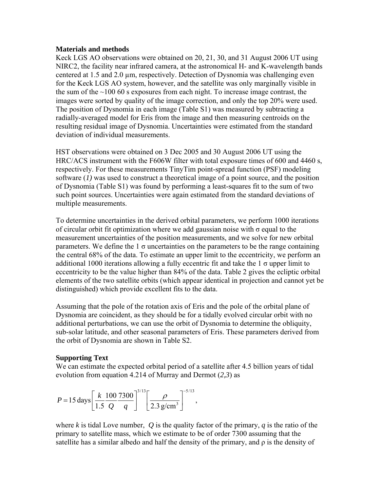#### **Materials and methods**

Keck LGS AO observations were obtained on 20, 21, 30, and 31 August 2006 UT using NIRC2, the facility near infrared camera, at the astronomical H- and K-wavelength bands centered at  $1.5$  and  $2.0 \mu m$ , respectively. Detection of Dysnomia was challenging even for the Keck LGS AO system, however, and the satellite was only marginally visible in the sum of the  $\sim$ 100 60 s exposures from each night. To increase image contrast, the images were sorted by quality of the image correction, and only the top 20% were used. The position of Dysnomia in each image (Table S1) was measured by subtracting a radially-averaged model for Eris from the image and then measuring centroids on the resulting residual image of Dysnomia. Uncertainties were estimated from the standard deviation of individual measurements.

HST observations were obtained on 3 Dec 2005 and 30 August 2006 UT using the HRC/ACS instrument with the F606W filter with total exposure times of 600 and 4460 s, respectively. For these measurements TinyTim point-spread function (PSF) modeling software (*1)* was used to construct a theoretical image of a point source, and the position of Dysnomia (Table S1) was found by performing a least-squares fit to the sum of two such point sources. Uncertainties were again estimated from the standard deviations of multiple measurements.

To determine uncertainties in the derived orbital parameters, we perform 1000 iterations of circular orbit fit optimization where we add gaussian noise with  $\sigma$  equal to the measurement uncertainties of the position measurements, and we solve for new orbital parameters. We define the 1  $\sigma$  uncertainties on the parameters to be the range containing the central 68% of the data. To estimate an upper limit to the eccentricity, we perform an additional 1000 iterations allowing a fully eccentric fit and take the 1  $\sigma$  upper limit to eccentricity to be the value higher than 84% of the data. Table 2 gives the ecliptic orbital elements of the two satellite orbits (which appear identical in projection and cannot yet be distinguished) which provide excellent fits to the data.

Assuming that the pole of the rotation axis of Eris and the pole of the orbital plane of Dysnomia are coincident, as they should be for a tidally evolved circular orbit with no additional perturbations, we can use the orbit of Dysnomia to determine the obliquity, sub-solar latitude, and other seasonal parameters of Eris. These parameters derived from the orbit of Dysnomia are shown in Table S2.

# **Supporting Text**

We can estimate the expected orbital period of a satellite after 4.5 billion years of tidal evolution from equation 4.214 of Murray and Dermot (*2,3*) as

$$
P = 15 \text{ days} \left[ \frac{k}{1.5} \frac{100}{Q} \frac{7300}{q} \right]^{3/13} \left[ \frac{\rho}{2.3 \text{ g/cm}^3} \right]^{-5/13},
$$

where *k* is tidal Love number, *Q* is the quality factor of the primary, *q* is the ratio of the primary to satellite mass, which we estimate to be of order 7300 assuming that the satellite has a similar albedo and half the density of the primary, and ρ is the density of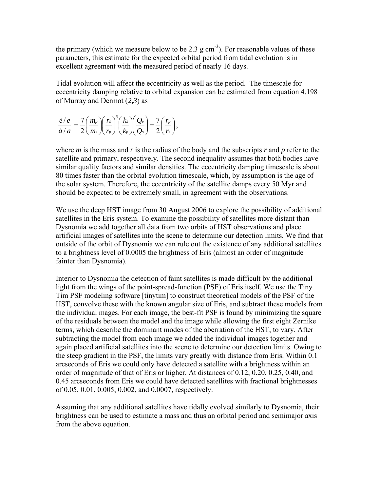the primary (which we measure below to be 2.3 g  $cm^{-3}$ ). For reasonable values of these parameters, this estimate for the expected orbital period from tidal evolution is in excellent agreement with the measured period of nearly 16 days.

Tidal evolution will affect the eccentricity as well as the period. The timescale for eccentricity damping relative to orbital expansion can be estimated from equation 4.198 of Murray and Dermot (*2,3*) as

$$
\left|\frac{\dot{e}/e}{\dot{a}/a}\right| = \frac{7}{2}\left(\frac{m_p}{m_s}\right)\left(\frac{r_s}{r_p}\right)^5\left(\frac{k_s}{k_p}\right)\left(\frac{Q_p}{Q_s}\right) = \frac{7}{2}\left(\frac{r_p}{r_s}\right),\,
$$

where *m* is the mass and *r* is the radius of the body and the subscripts *r* and *p* refer to the satellite and primary, respectively. The second inequality assumes that both bodies have similar quality factors and similar densities. The eccentricity damping timescale is about 80 times faster than the orbital evolution timescale, which, by assumption is the age of the solar system. Therefore, the eccentricity of the satellite damps every 50 Myr and should be expected to be extremely small, in agreement with the observations.

We use the deep HST image from 30 August 2006 to explore the possibility of additional satellites in the Eris system. To examine the possibility of satellites more distant than Dysnomia we add together all data from two orbits of HST observations and place artificial images of satellites into the scene to determine our detection limits. We find that outside of the orbit of Dysnomia we can rule out the existence of any additional satellites to a brightness level of 0.0005 the brightness of Eris (almost an order of magnitude fainter than Dysnomia).

Interior to Dysnomia the detection of faint satellites is made difficult by the additional light from the wings of the point-spread-function (PSF) of Eris itself. We use the Tiny Tim PSF modeling software [tinytim] to construct theoretical models of the PSF of the HST, convolve these with the known angular size of Eris, and subtract these models from the individual mages. For each image, the best-fit PSF is found by minimizing the square of the residuals between the model and the image while allowing the first eight Zernike terms, which describe the dominant modes of the aberration of the HST, to vary. After subtracting the model from each image we added the individual images together and again placed artificial satellites into the scene to determine our detection limits. Owing to the steep gradient in the PSF, the limits vary greatly with distance from Eris. Within 0.1 arcseconds of Eris we could only have detected a satellite with a brightness within an order of magnitude of that of Eris or higher. At distances of 0.12, 0.20, 0.25, 0.40, and 0.45 arcseconds from Eris we could have detected satellites with fractional brightnesses of 0.05, 0.01, 0.005, 0.002, and 0.0007, respectively.

Assuming that any additional satellites have tidally evolved similarly to Dysnomia, their brightness can be used to estimate a mass and thus an orbital period and semimajor axis from the above equation.